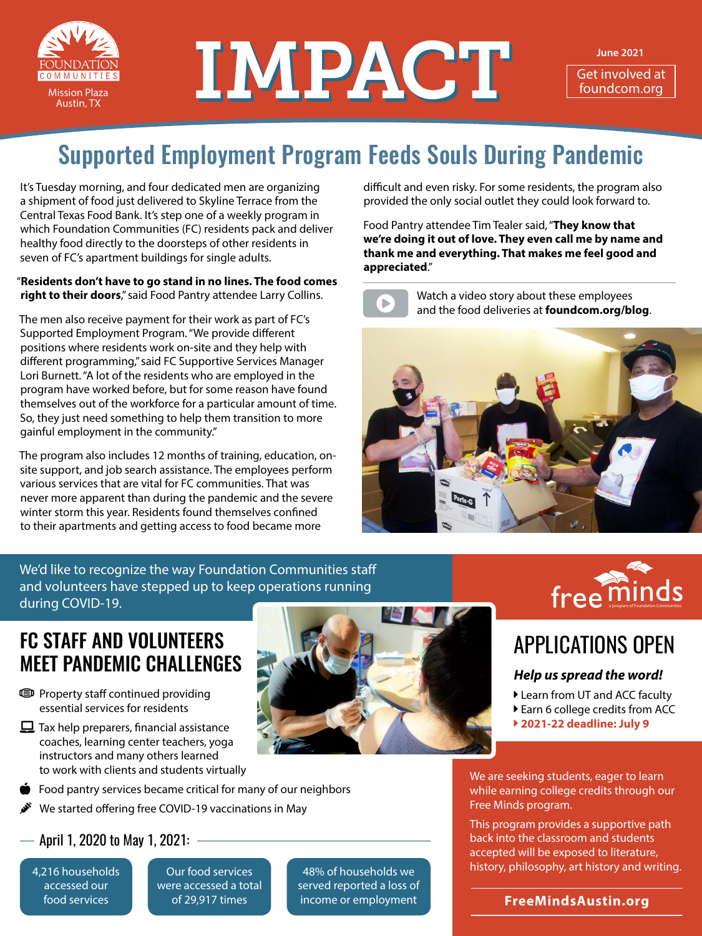

# NEW TMPACT

**June 2021**

Get involved at<br>foundcom.org

## Supported Employment Program Feeds Souls During Pandemic

It's Tuesday morning, and four dedicated men are organizing a shipment of food just delivered to Skyline Terrace from the Central Texas Food Bank. It's step one of a weekly program in which Foundation Communities (FC) residents pack and deliver healthy food directly to the doorsteps of other residents in seven of FC's apartment buildings for single adults.

#### "**Residents don't have to go stand in no lines. The food comes right to their doors**," said Food Pantry attendee Larry Collins.

The men also receive payment for their work as part of FC's Supported Employment Program. "We provide different positions where residents work on-site and they help with different programming," said FC Supportive Services Manager Lori Burnett. "A lot of the residents who are employed in the program have worked before, but for some reason have found themselves out of the workforce for a particular amount of time. So, they just need something to help them transition to more gainful employment in the community."

The program also includes 12 months of training, education, onsite support, and job search assistance. The employees perform various services that are vital for FC communities. That was never more apparent than during the pandemic and the severe winter storm this year. Residents found themselves confined to their apartments and getting access to food became more

We'd like to recognize the way Foundation Communities staff and volunteers have stepped up to keep operations running during COVID-19.

### FC STAFF AND VOLUNTEERS MEET PANDEMIC CHALLENGES

- **ID** Property staff continued providing essential services for residents
- $\Box$  Tax help preparers, financial assistance coaches, learning center teachers, yoga instructors and many others learned to work with clients and students virtually
- Food pantry services became critical for many of our neighbors
- We started offering free COVID-19 vaccinations in May

#### April 1, 2020 to May 1, 2021:

4,216 households accessed our food services

Our food services were accessed a total of 29,917 times

48% of households we served reported a loss of income or employment



Food Pantry attendee Tim Tealer said, "**They know that we're doing it out of love. They even call me by name and thank me and everything. That makes me feel good and appreciated**."



Watch a video story about these employees and the food deliveries at **[foundcom.org/blog](http://foundcom.org/blog)**.





## APPLICATIONS OPEN

#### *Help us spread the word!*

- Learn from UT and ACC faculty
- Earn 6 college credits from ACC
- **▶ 2021-22 deadline: July 9**

We are seeking students, eager to learn while earning college credits through our Free Minds program.

This program provides a supportive path back into the classroom and students accepted will be exposed to literature, history, philosophy, art history and writing.

**[FreeMindsAustin.org](http://freemindsaustin.org)**